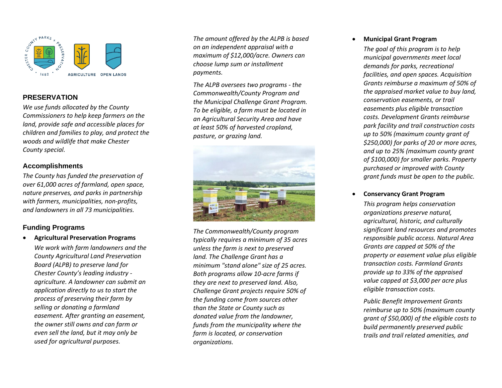

# **PRESERVATION**

*We use funds allocated by the County Commissioners to help keep farmers on the land, provide safe and accessible places for children and families to play, and protect the woods and wildlife that make Chester County special.*

## **Accomplishments**

*The County has funded the preservation of over 61,000 acres of farmland, open space, nature preserves, and parks in partnership with farmers, municipalities, non -profits, and landowners in all 73 municipalities .*

## **Funding Programs**

• **Agricultural Preservation Programs**

*We work with farm landowners and the County Agricultural Land Preservation Board (ALPB) to preserve land for Chester County's leading industry agriculture. A landowner can submit an application directly to us to start the process of preserving their farm by selling or donating a farmland easement. After granting an easement, the owner still owns and can farm or even sell the land, but it may only be used for agricultural purposes.*

*The amount offered by the ALPB is based on an independent appraisal with a maximum of \$12,000/acre. Owners can choose lump sum or installment payments.*

*The ALPB oversees two programs - the Commonwealth/County Program and the Municipal Challenge Grant Program. To be eligible, a farm must be located in an Agricultural Security Area and have at least 50% of harvested cropland, pasture, or grazing land.*



*The Commonwealth/County program typically requires a minimum of 35 acres unless the farm is next to preserved land. The Challenge Grant has a minimum "stand alone" size of 25 acres. Both programs allow 10 -acre farms if they are next to preserved land . Also, Challenge Grant projects require 50% of the funding come from sources other than the State or County such as donated value from the landowner, funds from the municipality where the farm is located, or conservation organizations .*

#### • **Municipal Grant Program**

*The goal of this program is to help municipal governments meet local demands for parks, recreational facilities, and open spaces. Acquisition Grants reimburse a maximum of 50% of the appraised market value to buy land, conservation easements, or trail easements plus eligible transaction costs . Development Grants reimburse park facility and trail construction costs up to 50% (maximum county grant of \$250,000) for parks of 20 or more acres, and up to 25% (maximum county grant of \$100,000) for smaller parks. Property purchased or improved with County grant funds must be open to the public.*

### • **Conservancy Grant Prog ram**

*This program helps conservation organizations preserv e natural, agricultural, historic, and culturally significant land resources and promotes responsible public access. Natural Area Grants are capped at 50% of the property or easement value plus eligible transaction costs . Farmland Grants provide up to 33% of the appraised value capped at \$3,000 per acre plus eligible transaction costs.*

*Public Benefit Improvement Grants reimburse up to 50% (maximum county grant of \$50,000) of the eligible costs to build permanently preserved public trails and trail related amenities, and*